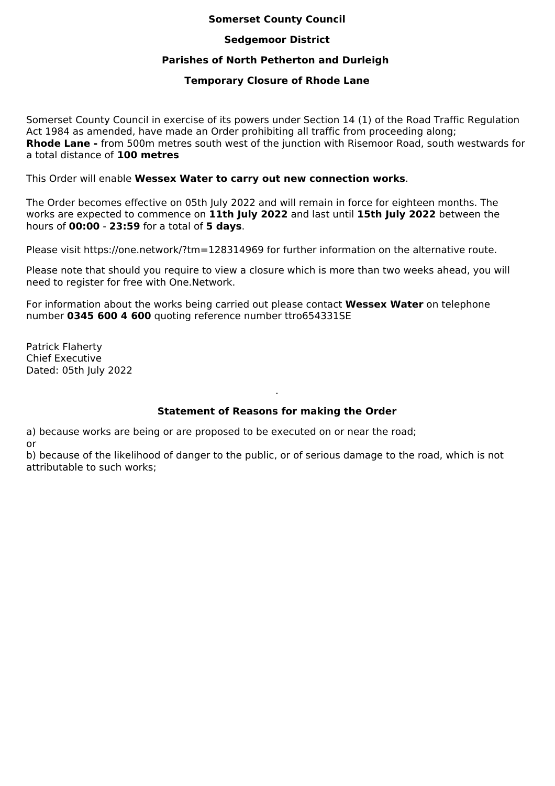## **Somerset County Council**

#### **Sedgemoor District**

## **Parishes of North Petherton and Durleigh**

#### **Temporary Closure of Rhode Lane**

Somerset County Council in exercise of its powers under Section 14 (1) of the Road Traffic Regulation Act 1984 as amended, have made an Order prohibiting all traffic from proceeding along; **Rhode Lane -** from 500m metres south west of the junction with Risemoor Road, south westwards for a total distance of **100 metres**

This Order will enable **Wessex Water to carry out new connection works**.

The Order becomes effective on 05th July 2022 and will remain in force for eighteen months. The works are expected to commence on **11th July 2022** and last until **15th July 2022** between the hours of **00:00** - **23:59** for a total of **5 days**.

Please visit https://one.network/?tm=128314969 for further information on the alternative route.

Please note that should you require to view a closure which is more than two weeks ahead, you will need to register for free with One.Network.

For information about the works being carried out please contact **Wessex Water** on telephone number **0345 600 4 600** quoting reference number ttro654331SE

Patrick Flaherty Chief Executive Dated: 05th July 2022

# **Statement of Reasons for making the Order**

.

a) because works are being or are proposed to be executed on or near the road; or

b) because of the likelihood of danger to the public, or of serious damage to the road, which is not attributable to such works;